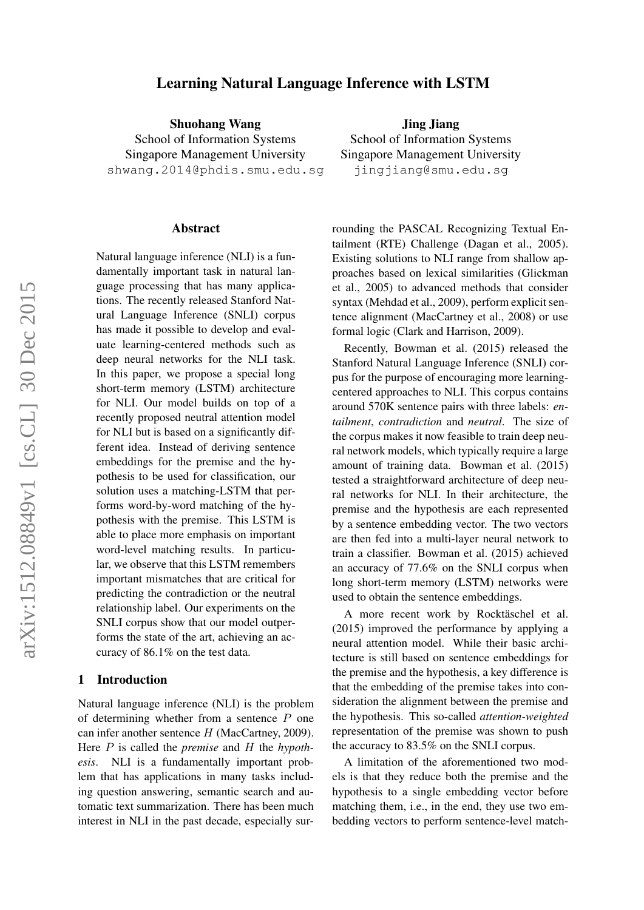# Learning Natural Language Inference with LSTM

Shuohang Wang School of Information Systems Singapore Management University shwang.2014@phdis.smu.edu.sg

#### Abstract

Natural language inference (NLI) is a fundamentally important task in natural language processing that has many applications. The recently released Stanford Natural Language Inference (SNLI) corpus has made it possible to develop and evaluate learning-centered methods such as deep neural networks for the NLI task. In this paper, we propose a special long short-term memory (LSTM) architecture for NLI. Our model builds on top of a recently proposed neutral attention model for NLI but is based on a significantly different idea. Instead of deriving sentence embeddings for the premise and the hypothesis to be used for classification, our solution uses a matching-LSTM that performs word-by-word matching of the hypothesis with the premise. This LSTM is able to place more emphasis on important word-level matching results. In particular, we observe that this LSTM remembers important mismatches that are critical for predicting the contradiction or the neutral relationship label. Our experiments on the SNLI corpus show that our model outperforms the state of the art, achieving an accuracy of 86.1% on the test data.

## 1 Introduction

Natural language inference (NLI) is the problem of determining whether from a sentence P one can infer another sentence  $H$  (MacCartney, 2009). Here P is called the *premise* and H the *hypothesis*. NLI is a fundamentally important problem that has applications in many tasks including question answering, semantic search and automatic text summarization. There has been much interest in NLI in the past decade, especially sur-

Jing Jiang School of Information Systems Singapore Management University jingjiang@smu.edu.sg

rounding the PASCAL Recognizing Textual Entailment (RTE) Challenge (Dagan et al., 2005). Existing solutions to NLI range from shallow approaches based on lexical similarities (Glickman et al., 2005) to advanced methods that consider syntax (Mehdad et al., 2009), perform explicit sentence alignment (MacCartney et al., 2008) or use formal logic (Clark and Harrison, 2009).

Recently, Bowman et al. (2015) released the Stanford Natural Language Inference (SNLI) corpus for the purpose of encouraging more learningcentered approaches to NLI. This corpus contains around 570K sentence pairs with three labels: *entailment*, *contradiction* and *neutral*. The size of the corpus makes it now feasible to train deep neural network models, which typically require a large amount of training data. Bowman et al. (2015) tested a straightforward architecture of deep neural networks for NLI. In their architecture, the premise and the hypothesis are each represented by a sentence embedding vector. The two vectors are then fed into a multi-layer neural network to train a classifier. Bowman et al. (2015) achieved an accuracy of 77.6% on the SNLI corpus when long short-term memory (LSTM) networks were used to obtain the sentence embeddings.

A more recent work by Rocktäschel et al. (2015) improved the performance by applying a neural attention model. While their basic architecture is still based on sentence embeddings for the premise and the hypothesis, a key difference is that the embedding of the premise takes into consideration the alignment between the premise and the hypothesis. This so-called *attention-weighted* representation of the premise was shown to push the accuracy to 83.5% on the SNLI corpus.

A limitation of the aforementioned two models is that they reduce both the premise and the hypothesis to a single embedding vector before matching them, i.e., in the end, they use two embedding vectors to perform sentence-level match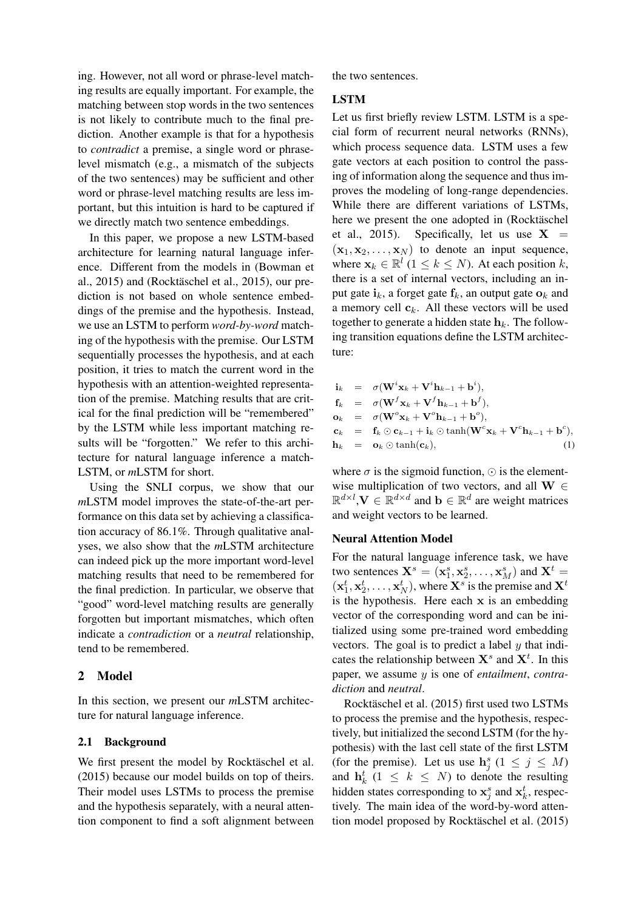ing. However, not all word or phrase-level matching results are equally important. For example, the matching between stop words in the two sentences is not likely to contribute much to the final prediction. Another example is that for a hypothesis to *contradict* a premise, a single word or phraselevel mismatch (e.g., a mismatch of the subjects of the two sentences) may be sufficient and other word or phrase-level matching results are less important, but this intuition is hard to be captured if we directly match two sentence embeddings.

In this paper, we propose a new LSTM-based architecture for learning natural language inference. Different from the models in (Bowman et al.,  $2015$ ) and (Rocktäschel et al.,  $2015$ ), our prediction is not based on whole sentence embeddings of the premise and the hypothesis. Instead, we use an LSTM to perform *word-by-word* matching of the hypothesis with the premise. Our LSTM sequentially processes the hypothesis, and at each position, it tries to match the current word in the hypothesis with an attention-weighted representation of the premise. Matching results that are critical for the final prediction will be "remembered" by the LSTM while less important matching results will be "forgotten." We refer to this architecture for natural language inference a match-LSTM, or *m*LSTM for short.

Using the SNLI corpus, we show that our *m*LSTM model improves the state-of-the-art performance on this data set by achieving a classification accuracy of 86.1%. Through qualitative analyses, we also show that the *m*LSTM architecture can indeed pick up the more important word-level matching results that need to be remembered for the final prediction. In particular, we observe that "good" word-level matching results are generally forgotten but important mismatches, which often indicate a *contradiction* or a *neutral* relationship, tend to be remembered.

## 2 Model

In this section, we present our *m*LSTM architecture for natural language inference.

## 2.1 Background

We first present the model by Rocktäschel et al. (2015) because our model builds on top of theirs. Their model uses LSTMs to process the premise and the hypothesis separately, with a neural attention component to find a soft alignment between the two sentences.

## LSTM

Let us first briefly review LSTM. LSTM is a special form of recurrent neural networks (RNNs), which process sequence data. LSTM uses a few gate vectors at each position to control the passing of information along the sequence and thus improves the modeling of long-range dependencies. While there are different variations of LSTMs, here we present the one adopted in (Rocktäschel et al., 2015). Specifically, let us use  $X =$  $(x_1, x_2, \ldots, x_N)$  to denote an input sequence, where  $\mathbf{x}_k \in \mathbb{R}^l$   $(1 \leq k \leq N)$ . At each position k, there is a set of internal vectors, including an input gate  $i_k$ , a forget gate  $f_k$ , an output gate  $o_k$  and a memory cell  $c_k$ . All these vectors will be used together to generate a hidden state  $h_k$ . The following transition equations define the LSTM architecture:

|  | $\mathbf{i}_k = \sigma(\mathbf{W}^i \mathbf{x}_k + \mathbf{V}^i \mathbf{h}_{k-1} + \mathbf{b}^i),$                                                         |
|--|------------------------------------------------------------------------------------------------------------------------------------------------------------|
|  | $\mathbf{f}_k = \sigma(\mathbf{W}^f \mathbf{x}_k + \mathbf{V}^f \mathbf{h}_{k-1} + \mathbf{b}^f),$                                                         |
|  | $\mathbf{o}_k = \sigma(\mathbf{W}^o \mathbf{x}_k + \mathbf{V}^o \mathbf{h}_{k-1} + \mathbf{b}^o),$                                                         |
|  | $\mathbf{c}_k = \mathbf{f}_k \odot \mathbf{c}_{k-1} + \mathbf{i}_k \odot \tanh(\mathbf{W}^c \mathbf{x}_k + \mathbf{V}^c \mathbf{h}_{k-1} + \mathbf{b}^c),$ |
|  | $\mathbf{h}_k = \mathbf{o}_k \odot \tanh(\mathbf{c}_k),$<br>$^{(1)}$                                                                                       |

where  $\sigma$  is the sigmoid function,  $\odot$  is the elementwise multiplication of two vectors, and all  $W \in$  $\mathbb{R}^{d \times l}$ ,  $V \in \mathbb{R}^{d \times d}$  and  $b \in \mathbb{R}^{d}$  are weight matrices and weight vectors to be learned.

#### Neural Attention Model

For the natural language inference task, we have two sentences  $X^s = (x_1^s, x_2^s, \dots, x_M^s)$  and  $X^t =$  $(\mathbf{x}_1^t, \mathbf{x}_2^t, \dots, \mathbf{x}_N^t)$ , where  $\mathbf{X}^s$  is the premise and  $\mathbf{X}^t$ is the hypothesis. Here each  $x$  is an embedding vector of the corresponding word and can be initialized using some pre-trained word embedding vectors. The goal is to predict a label  $y$  that indicates the relationship between  $X^s$  and  $X^t$ . In this paper, we assume y is one of *entailment*, *contradiction* and *neutral*.

Rocktäschel et al. (2015) first used two LSTMs to process the premise and the hypothesis, respectively, but initialized the second LSTM (for the hypothesis) with the last cell state of the first LSTM (for the premise). Let us use  $h_j^s$   $(1 \le j \le M)$ and  $h_k^t$  (1  $\leq k \leq N$ ) to denote the resulting hidden states corresponding to  $x_j^s$  and  $x_k^t$ , respectively. The main idea of the word-by-word attention model proposed by Rocktäschel et al. (2015)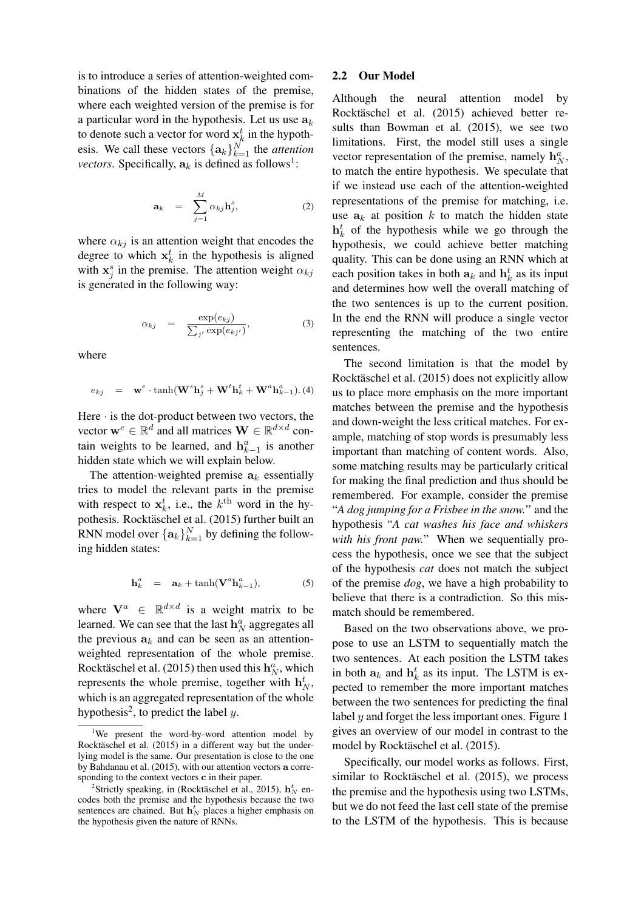is to introduce a series of attention-weighted combinations of the hidden states of the premise, where each weighted version of the premise is for a particular word in the hypothesis. Let us use  $a_k$ to denote such a vector for word  $\mathbf{x}_k^t$  in the hypothesis. We call these vectors  $\{\mathbf{a}_k\}_{k=1}^N$  the *attention vectors*. Specifically,  $a_k$  is defined as follows<sup>1</sup>:

$$
\mathbf{a}_k = \sum_{j=1}^M \alpha_{kj} \mathbf{h}_j^s, \qquad (2)
$$

where  $\alpha_{ki}$  is an attention weight that encodes the degree to which  $x_k^t$  in the hypothesis is aligned with  $x_j^s$  in the premise. The attention weight  $\alpha_{kj}$ is generated in the following way:

$$
\alpha_{kj} = \frac{\exp(e_{kj})}{\sum_{j'} \exp(e_{kj'})}, \qquad (3)
$$

where

$$
e_{kj} = \mathbf{w}^e \cdot \tanh(\mathbf{W}^s \mathbf{h}_j^s + \mathbf{W}^t \mathbf{h}_k^t + \mathbf{W}^a \mathbf{h}_{k-1}^a). (4)
$$

Here  $\cdot$  is the dot-product between two vectors, the vector  $\mathbf{w}^e \in \mathbb{R}^d$  and all matrices  $\mathbf{W} \in \mathbb{R}^{d \times d}$  contain weights to be learned, and  $h_{k-1}^a$  is another hidden state which we will explain below.

The attention-weighted premise  $a_k$  essentially tries to model the relevant parts in the premise with respect to  $x_k^t$ , i.e., the  $k^{\text{th}}$  word in the hypothesis. Rocktäschel et al. (2015) further built an RNN model over  $\{\mathbf a_k\}_{k=1}^N$  by defining the following hidden states:

$$
\mathbf{h}_k^a = \mathbf{a}_k + \tanh(\mathbf{V}^a \mathbf{h}_{k-1}^a), \tag{5}
$$

where  $V^a \in \mathbb{R}^{d \times d}$  is a weight matrix to be learned. We can see that the last  $\mathbf{h}_N^a$  aggregates all the previous  $a_k$  and can be seen as an attentionweighted representation of the whole premise. Rocktäschel et al. (2015) then used this  $\mathbf{h}_N^a$ , which represents the whole premise, together with  $h_N^t$ , which is an aggregated representation of the whole hypothesis<sup>2</sup>, to predict the label y.

### 2.2 Our Model

Although the neural attention model by Rocktäschel et al. (2015) achieved better results than Bowman et al. (2015), we see two limitations. First, the model still uses a single vector representation of the premise, namely  $\mathbf{h}_N^a$ , to match the entire hypothesis. We speculate that if we instead use each of the attention-weighted representations of the premise for matching, i.e. use  $a_k$  at position k to match the hidden state  $h_k^t$  of the hypothesis while we go through the hypothesis, we could achieve better matching quality. This can be done using an RNN which at each position takes in both  $a_k$  and  $h_k^t$  as its input and determines how well the overall matching of the two sentences is up to the current position. In the end the RNN will produce a single vector representing the matching of the two entire sentences.

The second limitation is that the model by Rocktäschel et al. (2015) does not explicitly allow us to place more emphasis on the more important matches between the premise and the hypothesis and down-weight the less critical matches. For example, matching of stop words is presumably less important than matching of content words. Also, some matching results may be particularly critical for making the final prediction and thus should be remembered. For example, consider the premise "*A dog jumping for a Frisbee in the snow.*" and the hypothesis "*A cat washes his face and whiskers with his front paw.*" When we sequentially process the hypothesis, once we see that the subject of the hypothesis *cat* does not match the subject of the premise *dog*, we have a high probability to believe that there is a contradiction. So this mismatch should be remembered.

Based on the two observations above, we propose to use an LSTM to sequentially match the two sentences. At each position the LSTM takes in both  $a_k$  and  $h_k^t$  as its input. The LSTM is expected to remember the more important matches between the two sentences for predicting the final label  $y$  and forget the less important ones. Figure 1 gives an overview of our model in contrast to the model by Rocktäschel et al. (2015).

Specifically, our model works as follows. First, similar to Rocktäschel et al. (2015), we process the premise and the hypothesis using two LSTMs, but we do not feed the last cell state of the premise to the LSTM of the hypothesis. This is because

We present the word-by-word attention model by Rocktäschel et al.  $(2015)$  in a different way but the underlying model is the same. Our presentation is close to the one by Bahdanau et al. (2015), with our attention vectors a corresponding to the context vectors c in their paper.

<sup>&</sup>lt;sup>2</sup>Strictly speaking, in (Rocktäschel et al., 2015),  $\mathbf{h}^t_N$  encodes both the premise and the hypothesis because the two sentences are chained. But  $\mathbf{h}_{N}^{t}$  places a higher emphasis on the hypothesis given the nature of RNNs.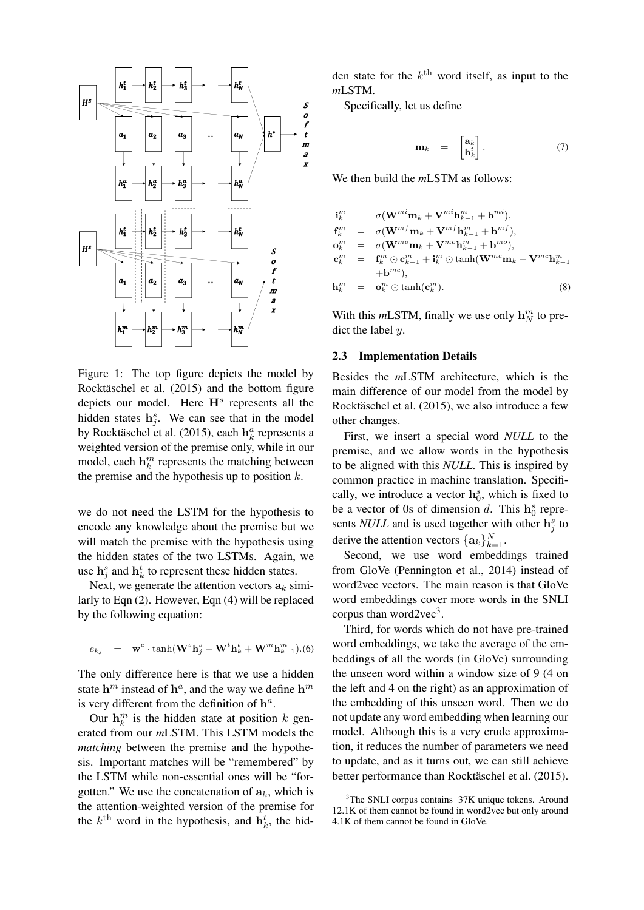

Figure 1: The top figure depicts the model by Rocktäschel et al.  $(2015)$  and the bottom figure depicts our model. Here  $H<sup>s</sup>$  represents all the hidden states  $h_j^s$ . We can see that in the model by Rocktäschel et al. (2015), each  $\mathbf{h}_k^a$  represents a weighted version of the premise only, while in our model, each  $\mathbf{h}_k^m$  represents the matching between the premise and the hypothesis up to position  $k$ .

we do not need the LSTM for the hypothesis to encode any knowledge about the premise but we will match the premise with the hypothesis using the hidden states of the two LSTMs. Again, we use  $\mathbf{h}_j^s$  and  $\mathbf{h}_k^t$  to represent these hidden states.

Next, we generate the attention vectors  $a_k$  similarly to Eqn (2). However, Eqn (4) will be replaced by the following equation:

$$
e_{kj} = \mathbf{w}^e \cdot \tanh(\mathbf{W}^s \mathbf{h}_j^s + \mathbf{W}^t \mathbf{h}_k^t + \mathbf{W}^m \mathbf{h}_{k-1}^m). (6)
$$

The only difference here is that we use a hidden state  $h^m$  instead of  $h^a$ , and the way we define  $h^m$ is very different from the definition of  $h^a$ .

Our  $\mathbf{h}_k^m$  is the hidden state at position k generated from our *m*LSTM. This LSTM models the *matching* between the premise and the hypothesis. Important matches will be "remembered" by the LSTM while non-essential ones will be "forgotten." We use the concatenation of  $a_k$ , which is the attention-weighted version of the premise for the  $k^{\text{th}}$  word in the hypothesis, and  $\mathbf{h}_k^t$ , the hid-

den state for the  $k^{\text{th}}$  word itself, as input to the *m*LSTM.

Specifically, let us define

$$
\mathbf{m}_k = \begin{bmatrix} \mathbf{a}_k \\ \mathbf{h}_k^t \end{bmatrix} . \tag{7}
$$

We then build the *m*LSTM as follows:

$$
\mathbf{i}_{k}^{m} = \sigma(\mathbf{W}^{mi}\mathbf{m}_{k} + \mathbf{V}^{mi}\mathbf{h}_{k-1}^{m} + \mathbf{b}^{mi}),
$$
\n
$$
\mathbf{f}_{k}^{m} = \sigma(\mathbf{W}^{mf}\mathbf{m}_{k} + \mathbf{V}^{mf}\mathbf{h}_{k-1}^{m} + \mathbf{b}^{mf}),
$$
\n
$$
\mathbf{o}_{k}^{m} = \sigma(\mathbf{W}^{mo}\mathbf{m}_{k} + \mathbf{V}^{mo}\mathbf{h}_{k-1}^{m} + \mathbf{b}^{mo}),
$$
\n
$$
\mathbf{c}_{k}^{m} = \mathbf{f}_{k}^{m} \odot \mathbf{c}_{k-1}^{m} + \mathbf{i}_{k}^{m} \odot \tanh(\mathbf{W}^{mc}\mathbf{m}_{k} + \mathbf{V}^{mc}\mathbf{h}_{k-1}^{m} + \mathbf{b}^{mc}),
$$
\n
$$
\mathbf{h}_{k}^{m} = \mathbf{o}_{k}^{m} \odot \tanh(\mathbf{c}_{k}^{m}).
$$
\n(8)

With this *m*LSTM, finally we use only  $\mathbf{h}_N^m$  to predict the label  $y$ .

### 2.3 Implementation Details

Besides the *m*LSTM architecture, which is the main difference of our model from the model by Rocktäschel et al. (2015), we also introduce a few other changes.

First, we insert a special word *NULL* to the premise, and we allow words in the hypothesis to be aligned with this *NULL*. This is inspired by common practice in machine translation. Specifically, we introduce a vector  $\mathbf{h}_0^s$ , which is fixed to be a vector of 0s of dimension d. This  $h_0^s$  represents *NULL* and is used together with other  $h_j^s$  to derive the attention vectors  $\{\mathbf{a}_k\}_{k=1}^N$ .

Second, we use word embeddings trained from GloVe (Pennington et al., 2014) instead of word2vec vectors. The main reason is that GloVe word embeddings cover more words in the SNLI corpus than word2vec $3$ .

Third, for words which do not have pre-trained word embeddings, we take the average of the embeddings of all the words (in GloVe) surrounding the unseen word within a window size of 9 (4 on the left and 4 on the right) as an approximation of the embedding of this unseen word. Then we do not update any word embedding when learning our model. Although this is a very crude approximation, it reduces the number of parameters we need to update, and as it turns out, we can still achieve better performance than Rocktäschel et al. (2015).

 $3$ The SNLI corpus contains  $37K$  unique tokens. Around 12.1K of them cannot be found in word2vec but only around 4.1K of them cannot be found in GloVe.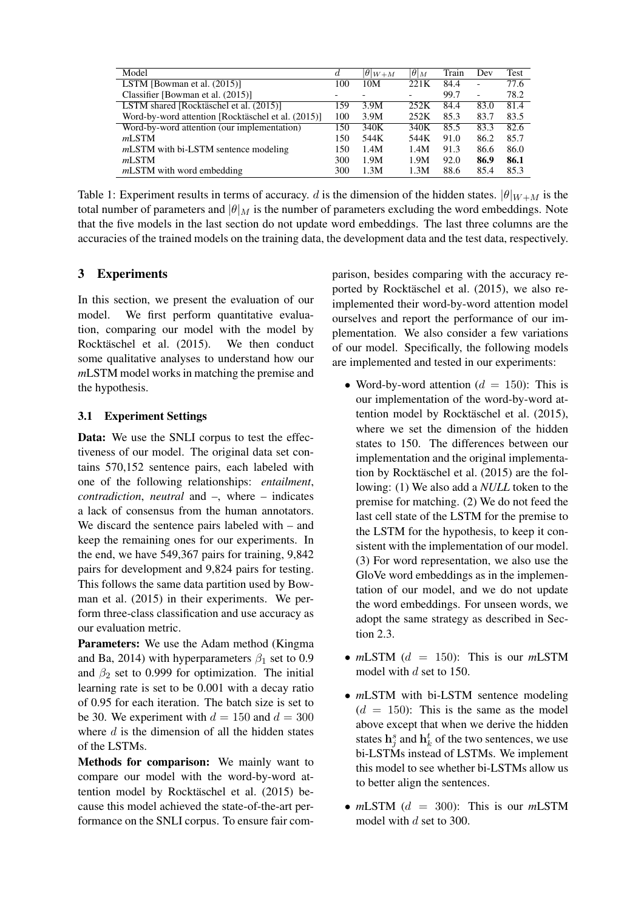| Model                                              | d   | $\boxed{\theta _{W+M}}$ | $ \theta _M$ | Train | Dev                      | Test |
|----------------------------------------------------|-----|-------------------------|--------------|-------|--------------------------|------|
| LSTM [Bowman et al. $(2015)$ ]                     |     | 10M                     | 221K         | 84.4  |                          | 77.6 |
| Classifier [Bowman et al. (2015)]                  |     |                         |              | 99.7  | $\overline{\phantom{0}}$ | 78.2 |
| LSTM shared [Rocktäschel et al. (2015)]            | 159 | 3.9M                    | 252K         | 84.4  | 83.0                     | 81.4 |
| Word-by-word attention [Rocktäschel et al. (2015)] | 100 | 3.9M                    | 252K         | 85.3  | 83.7                     | 83.5 |
| Word-by-word attention (our implementation)        | 150 | 340K                    | 340K         | 85.5  | 83.3                     | 82.6 |
| m <sub>L</sub> STM                                 | 150 | 544K                    | 544K         | 91.0  | 86.2                     | 85.7 |
| <i>mLSTM</i> with bi-LSTM sentence modeling        |     | 1.4M                    | 1.4M         | 91.3  | 86.6                     | 86.0 |
| mLSTM                                              | 300 | 1.9M                    | 1.9M         | 92.0  | 86.9                     | 86.1 |
| $mLSTM$ with word embedding                        | 300 | 1.3M                    | 1.3M         | 88.6  | 85.4                     | 85.3 |

Table 1: Experiment results in terms of accuracy. d is the dimension of the hidden states.  $|\theta|_{W+M}$  is the total number of parameters and  $|\theta|_M$  is the number of parameters excluding the word embeddings. Note that the five models in the last section do not update word embeddings. The last three columns are the accuracies of the trained models on the training data, the development data and the test data, respectively.

# 3 Experiments

In this section, we present the evaluation of our model. We first perform quantitative evaluation, comparing our model with the model by Rocktäschel et al. (2015). We then conduct some qualitative analyses to understand how our *m*LSTM model works in matching the premise and the hypothesis.

# 3.1 Experiment Settings

Data: We use the SNLI corpus to test the effectiveness of our model. The original data set contains 570,152 sentence pairs, each labeled with one of the following relationships: *entailment*, *contradiction*, *neutral* and *–*, where *–* indicates a lack of consensus from the human annotators. We discard the sentence pairs labeled with *–* and keep the remaining ones for our experiments. In the end, we have 549,367 pairs for training, 9,842 pairs for development and 9,824 pairs for testing. This follows the same data partition used by Bowman et al. (2015) in their experiments. We perform three-class classification and use accuracy as our evaluation metric.

Parameters: We use the Adam method (Kingma and Ba, 2014) with hyperparameters  $\beta_1$  set to 0.9 and  $\beta_2$  set to 0.999 for optimization. The initial learning rate is set to be 0.001 with a decay ratio of 0.95 for each iteration. The batch size is set to be 30. We experiment with  $d = 150$  and  $d = 300$ where  $d$  is the dimension of all the hidden states of the LSTMs.

Methods for comparison: We mainly want to compare our model with the word-by-word attention model by Rocktäschel et al. (2015) because this model achieved the state-of-the-art performance on the SNLI corpus. To ensure fair comparison, besides comparing with the accuracy reported by Rocktäschel et al. (2015), we also reimplemented their word-by-word attention model ourselves and report the performance of our implementation. We also consider a few variations of our model. Specifically, the following models are implemented and tested in our experiments:

- Word-by-word attention ( $d = 150$ ): This is our implementation of the word-by-word attention model by Rocktäschel et al. (2015), where we set the dimension of the hidden states to 150. The differences between our implementation and the original implementation by Rocktäschel et al.  $(2015)$  are the following: (1) We also add a *NULL* token to the premise for matching. (2) We do not feed the last cell state of the LSTM for the premise to the LSTM for the hypothesis, to keep it consistent with the implementation of our model. (3) For word representation, we also use the GloVe word embeddings as in the implementation of our model, and we do not update the word embeddings. For unseen words, we adopt the same strategy as described in Section 2.3.
- $mLSTM$  ( $d = 150$ ): This is our  $mLSTM$ model with d set to 150.
- *m*LSTM with bi-LSTM sentence modeling  $(d = 150)$ : This is the same as the model above except that when we derive the hidden states  $h_j^s$  and  $h_k^t$  of the two sentences, we use bi-LSTMs instead of LSTMs. We implement this model to see whether bi-LSTMs allow us to better align the sentences.
- *m*LSTM ( $d = 300$ ): This is our *mLSTM* model with d set to 300.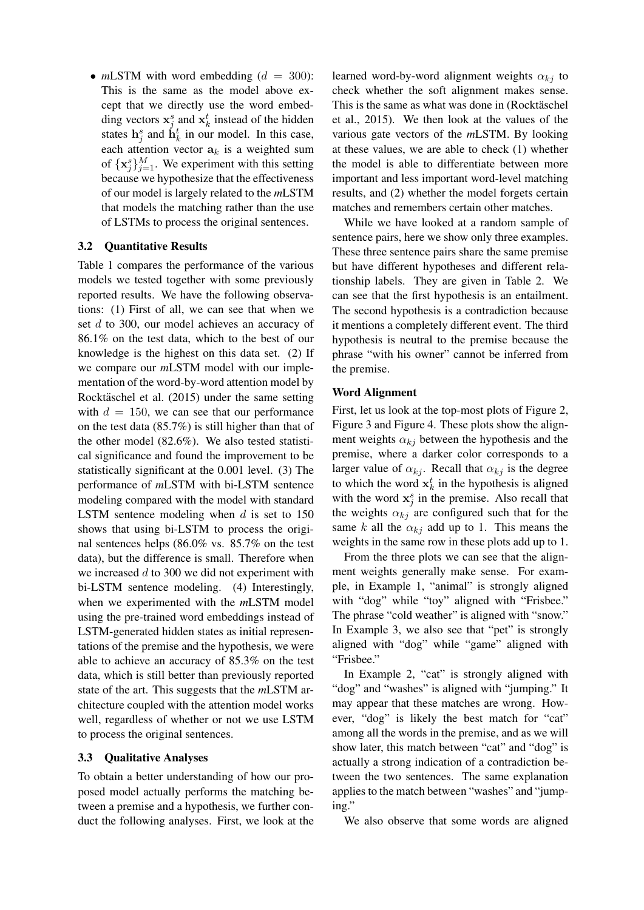•  $mLSTM$  with word embedding  $(d = 300)$ : This is the same as the model above except that we directly use the word embedding vectors  $x_j^s$  and  $x_k^t$  instead of the hidden states  $h_j^s$  and  $\dot{h}_k^t$  in our model. In this case, each attention vector  $a_k$  is a weighted sum of  $\{x_j^s\}_{j=1}^M$ . We experiment with this setting because we hypothesize that the effectiveness of our model is largely related to the *m*LSTM that models the matching rather than the use of LSTMs to process the original sentences.

# 3.2 Quantitative Results

Table 1 compares the performance of the various models we tested together with some previously reported results. We have the following observations: (1) First of all, we can see that when we set d to 300, our model achieves an accuracy of 86.1% on the test data, which to the best of our knowledge is the highest on this data set. (2) If we compare our *m*LSTM model with our implementation of the word-by-word attention model by Rocktäschel et al.  $(2015)$  under the same setting with  $d = 150$ , we can see that our performance on the test data (85.7%) is still higher than that of the other model (82.6%). We also tested statistical significance and found the improvement to be statistically significant at the 0.001 level. (3) The performance of *m*LSTM with bi-LSTM sentence modeling compared with the model with standard LSTM sentence modeling when  $d$  is set to 150 shows that using bi-LSTM to process the original sentences helps (86.0% vs. 85.7% on the test data), but the difference is small. Therefore when we increased  $d$  to 300 we did not experiment with bi-LSTM sentence modeling. (4) Interestingly, when we experimented with the *m*LSTM model using the pre-trained word embeddings instead of LSTM-generated hidden states as initial representations of the premise and the hypothesis, we were able to achieve an accuracy of 85.3% on the test data, which is still better than previously reported state of the art. This suggests that the *m*LSTM architecture coupled with the attention model works well, regardless of whether or not we use LSTM to process the original sentences.

## 3.3 Qualitative Analyses

To obtain a better understanding of how our proposed model actually performs the matching between a premise and a hypothesis, we further conduct the following analyses. First, we look at the

learned word-by-word alignment weights  $\alpha_{ki}$  to check whether the soft alignment makes sense. This is the same as what was done in (Rocktäschel et al., 2015). We then look at the values of the various gate vectors of the *m*LSTM. By looking at these values, we are able to check (1) whether the model is able to differentiate between more important and less important word-level matching results, and (2) whether the model forgets certain matches and remembers certain other matches.

While we have looked at a random sample of sentence pairs, here we show only three examples. These three sentence pairs share the same premise but have different hypotheses and different relationship labels. They are given in Table 2. We can see that the first hypothesis is an entailment. The second hypothesis is a contradiction because it mentions a completely different event. The third hypothesis is neutral to the premise because the phrase "with his owner" cannot be inferred from the premise.

## Word Alignment

First, let us look at the top-most plots of Figure 2, Figure 3 and Figure 4. These plots show the alignment weights  $\alpha_{ki}$  between the hypothesis and the premise, where a darker color corresponds to a larger value of  $\alpha_{kj}$ . Recall that  $\alpha_{kj}$  is the degree to which the word  $x_k^t$  in the hypothesis is aligned with the word  $x_j^s$  in the premise. Also recall that the weights  $\alpha_{kj}$  are configured such that for the same k all the  $\alpha_{kj}$  add up to 1. This means the weights in the same row in these plots add up to 1.

From the three plots we can see that the alignment weights generally make sense. For example, in Example 1, "animal" is strongly aligned with "dog" while "toy" aligned with "Frisbee." The phrase "cold weather" is aligned with "snow." In Example 3, we also see that "pet" is strongly aligned with "dog" while "game" aligned with "Frisbee."

In Example 2, "cat" is strongly aligned with "dog" and "washes" is aligned with "jumping." It may appear that these matches are wrong. However, "dog" is likely the best match for "cat" among all the words in the premise, and as we will show later, this match between "cat" and "dog" is actually a strong indication of a contradiction between the two sentences. The same explanation applies to the match between "washes" and "jumping."

We also observe that some words are aligned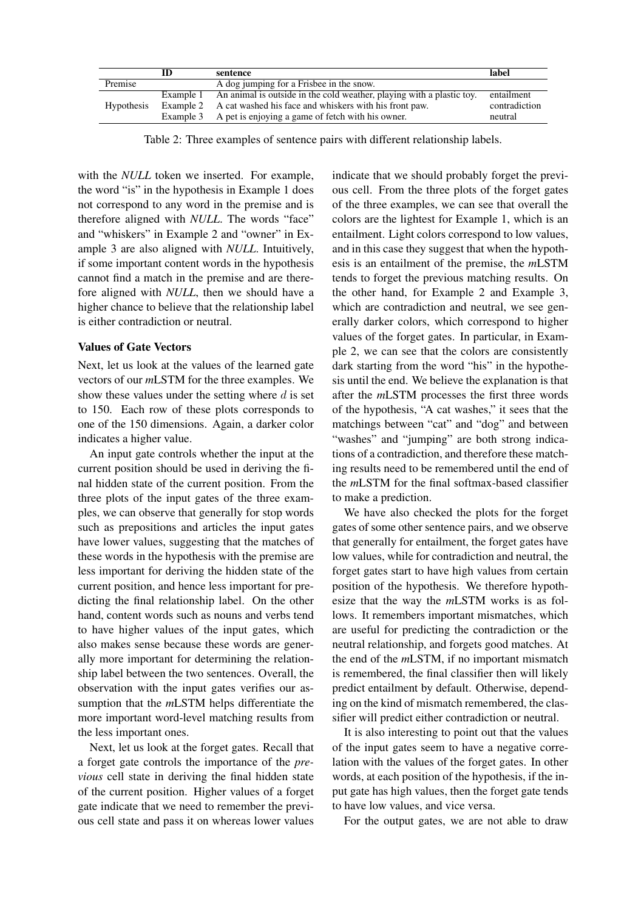|                   | ID | sentence                                                                                                                                                                                                           | label                                  |
|-------------------|----|--------------------------------------------------------------------------------------------------------------------------------------------------------------------------------------------------------------------|----------------------------------------|
| Premise           |    | A dog jumping for a Frisbee in the snow.                                                                                                                                                                           |                                        |
| <b>Hypothesis</b> |    | Example 1 An animal is outside in the cold weather, playing with a plastic toy.<br>Example 2 A cat washed his face and whiskers with his front paw.<br>Example 3 A pet is enjoying a game of fetch with his owner. | entailment<br>contradiction<br>neutral |

Table 2: Three examples of sentence pairs with different relationship labels.

with the *NULL* token we inserted. For example, the word "is" in the hypothesis in Example 1 does not correspond to any word in the premise and is therefore aligned with *NULL*. The words "face" and "whiskers" in Example 2 and "owner" in Example 3 are also aligned with *NULL*. Intuitively, if some important content words in the hypothesis cannot find a match in the premise and are therefore aligned with *NULL*, then we should have a higher chance to believe that the relationship label is either contradiction or neutral.

### Values of Gate Vectors

Next, let us look at the values of the learned gate vectors of our *m*LSTM for the three examples. We show these values under the setting where  $d$  is set to 150. Each row of these plots corresponds to one of the 150 dimensions. Again, a darker color indicates a higher value.

An input gate controls whether the input at the current position should be used in deriving the final hidden state of the current position. From the three plots of the input gates of the three examples, we can observe that generally for stop words such as prepositions and articles the input gates have lower values, suggesting that the matches of these words in the hypothesis with the premise are less important for deriving the hidden state of the current position, and hence less important for predicting the final relationship label. On the other hand, content words such as nouns and verbs tend to have higher values of the input gates, which also makes sense because these words are generally more important for determining the relationship label between the two sentences. Overall, the observation with the input gates verifies our assumption that the *m*LSTM helps differentiate the more important word-level matching results from the less important ones.

Next, let us look at the forget gates. Recall that a forget gate controls the importance of the *previous* cell state in deriving the final hidden state of the current position. Higher values of a forget gate indicate that we need to remember the previous cell state and pass it on whereas lower values indicate that we should probably forget the previous cell. From the three plots of the forget gates of the three examples, we can see that overall the colors are the lightest for Example 1, which is an entailment. Light colors correspond to low values, and in this case they suggest that when the hypothesis is an entailment of the premise, the *m*LSTM tends to forget the previous matching results. On the other hand, for Example 2 and Example 3, which are contradiction and neutral, we see generally darker colors, which correspond to higher values of the forget gates. In particular, in Example 2, we can see that the colors are consistently dark starting from the word "his" in the hypothesis until the end. We believe the explanation is that after the *m*LSTM processes the first three words of the hypothesis, "A cat washes," it sees that the matchings between "cat" and "dog" and between "washes" and "jumping" are both strong indications of a contradiction, and therefore these matching results need to be remembered until the end of the *m*LSTM for the final softmax-based classifier to make a prediction.

We have also checked the plots for the forget gates of some other sentence pairs, and we observe that generally for entailment, the forget gates have low values, while for contradiction and neutral, the forget gates start to have high values from certain position of the hypothesis. We therefore hypothesize that the way the *m*LSTM works is as follows. It remembers important mismatches, which are useful for predicting the contradiction or the neutral relationship, and forgets good matches. At the end of the *m*LSTM, if no important mismatch is remembered, the final classifier then will likely predict entailment by default. Otherwise, depending on the kind of mismatch remembered, the classifier will predict either contradiction or neutral.

It is also interesting to point out that the values of the input gates seem to have a negative correlation with the values of the forget gates. In other words, at each position of the hypothesis, if the input gate has high values, then the forget gate tends to have low values, and vice versa.

For the output gates, we are not able to draw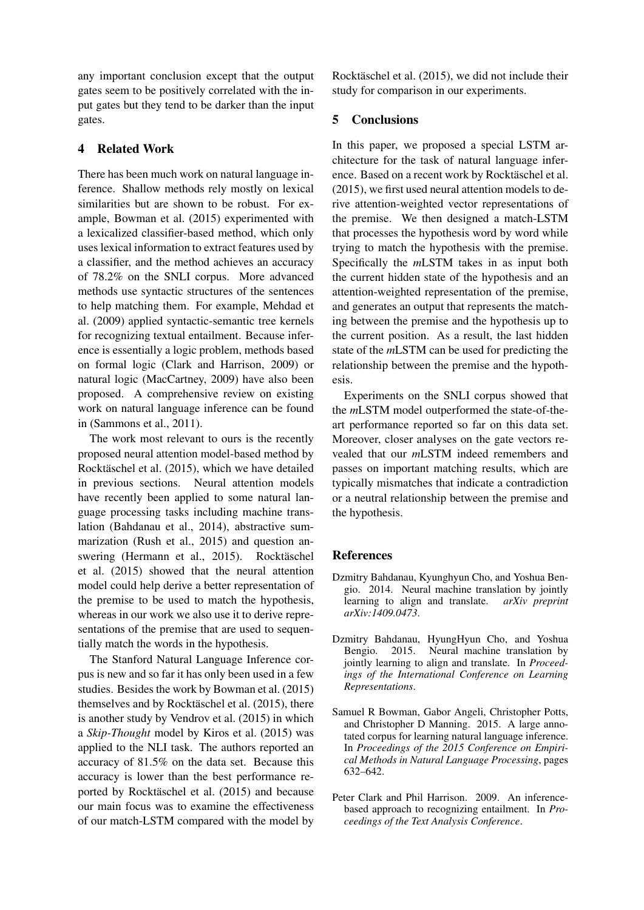any important conclusion except that the output gates seem to be positively correlated with the input gates but they tend to be darker than the input gates.

## 4 Related Work

There has been much work on natural language inference. Shallow methods rely mostly on lexical similarities but are shown to be robust. For example, Bowman et al. (2015) experimented with a lexicalized classifier-based method, which only uses lexical information to extract features used by a classifier, and the method achieves an accuracy of 78.2% on the SNLI corpus. More advanced methods use syntactic structures of the sentences to help matching them. For example, Mehdad et al. (2009) applied syntactic-semantic tree kernels for recognizing textual entailment. Because inference is essentially a logic problem, methods based on formal logic (Clark and Harrison, 2009) or natural logic (MacCartney, 2009) have also been proposed. A comprehensive review on existing work on natural language inference can be found in (Sammons et al., 2011).

The work most relevant to ours is the recently proposed neural attention model-based method by Rocktäschel et al. (2015), which we have detailed in previous sections. Neural attention models have recently been applied to some natural language processing tasks including machine translation (Bahdanau et al., 2014), abstractive summarization (Rush et al., 2015) and question answering (Hermann et al., 2015). Rocktäschel et al. (2015) showed that the neural attention model could help derive a better representation of the premise to be used to match the hypothesis, whereas in our work we also use it to derive representations of the premise that are used to sequentially match the words in the hypothesis.

The Stanford Natural Language Inference corpus is new and so far it has only been used in a few studies. Besides the work by Bowman et al. (2015) themselves and by Rocktäschel et al. (2015), there is another study by Vendrov et al. (2015) in which a *Skip-Thought* model by Kiros et al. (2015) was applied to the NLI task. The authors reported an accuracy of 81.5% on the data set. Because this accuracy is lower than the best performance reported by Rocktäschel et al.  $(2015)$  and because our main focus was to examine the effectiveness of our match-LSTM compared with the model by

Rocktäschel et al. (2015), we did not include their study for comparison in our experiments.

# 5 Conclusions

In this paper, we proposed a special LSTM architecture for the task of natural language inference. Based on a recent work by Rocktäschel et al. (2015), we first used neural attention models to derive attention-weighted vector representations of the premise. We then designed a match-LSTM that processes the hypothesis word by word while trying to match the hypothesis with the premise. Specifically the *m*LSTM takes in as input both the current hidden state of the hypothesis and an attention-weighted representation of the premise, and generates an output that represents the matching between the premise and the hypothesis up to the current position. As a result, the last hidden state of the *m*LSTM can be used for predicting the relationship between the premise and the hypothesis.

Experiments on the SNLI corpus showed that the *m*LSTM model outperformed the state-of-theart performance reported so far on this data set. Moreover, closer analyses on the gate vectors revealed that our *m*LSTM indeed remembers and passes on important matching results, which are typically mismatches that indicate a contradiction or a neutral relationship between the premise and the hypothesis.

## References

- Dzmitry Bahdanau, Kyunghyun Cho, and Yoshua Bengio. 2014. Neural machine translation by jointly learning to align and translate. *arXiv preprint arXiv:1409.0473*.
- Dzmitry Bahdanau, HyungHyun Cho, and Yoshua Bengio. 2015. Neural machine translation by jointly learning to align and translate. In *Proceedings of the International Conference on Learning Representations*.
- Samuel R Bowman, Gabor Angeli, Christopher Potts, and Christopher D Manning. 2015. A large annotated corpus for learning natural language inference. In *Proceedings of the 2015 Conference on Empirical Methods in Natural Language Processing*, pages 632–642.
- Peter Clark and Phil Harrison. 2009. An inferencebased approach to recognizing entailment. In *Proceedings of the Text Analysis Conference*.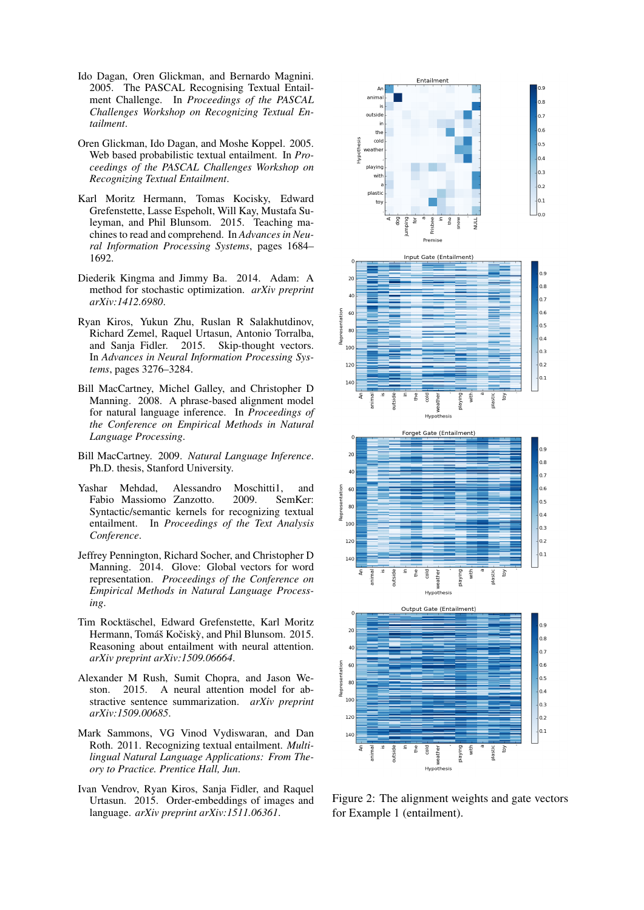- Ido Dagan, Oren Glickman, and Bernardo Magnini. 2005. The PASCAL Recognising Textual Entailment Challenge. In *Proceedings of the PASCAL Challenges Workshop on Recognizing Textual Entailment*.
- Oren Glickman, Ido Dagan, and Moshe Koppel. 2005. Web based probabilistic textual entailment. In *Proceedings of the PASCAL Challenges Workshop on Recognizing Textual Entailment*.
- Karl Moritz Hermann, Tomas Kocisky, Edward Grefenstette, Lasse Espeholt, Will Kay, Mustafa Suleyman, and Phil Blunsom. 2015. Teaching machines to read and comprehend. In *Advances in Neural Information Processing Systems*, pages 1684– 1692.
- Diederik Kingma and Jimmy Ba. 2014. Adam: A method for stochastic optimization. *arXiv preprint arXiv:1412.6980*.
- Ryan Kiros, Yukun Zhu, Ruslan R Salakhutdinov, Richard Zemel, Raquel Urtasun, Antonio Torralba, and Sanja Fidler. 2015. Skip-thought vectors. In *Advances in Neural Information Processing Systems*, pages 3276–3284.
- Bill MacCartney, Michel Galley, and Christopher D Manning. 2008. A phrase-based alignment model for natural language inference. In *Proceedings of the Conference on Empirical Methods in Natural Language Processing*.
- Bill MacCartney. 2009. *Natural Language Inference*. Ph.D. thesis, Stanford University.
- Yashar Mehdad, Alessandro Moschitti1, and Fabio Massiomo Zanzotto. 2009. SemKer: Syntactic/semantic kernels for recognizing textual entailment. In *Proceedings of the Text Analysis Conference*.
- Jeffrey Pennington, Richard Socher, and Christopher D Manning. 2014. Glove: Global vectors for word representation. *Proceedings of the Conference on Empirical Methods in Natural Language Processing*.
- Tim Rocktäschel, Edward Grefenstette, Karl Moritz Hermann, Tomáš Kočiskỳ, and Phil Blunsom. 2015. Reasoning about entailment with neural attention. *arXiv preprint arXiv:1509.06664*.
- Alexander M Rush, Sumit Chopra, and Jason Weston. 2015. A neural attention model for abstractive sentence summarization. *arXiv preprint arXiv:1509.00685*.
- Mark Sammons, VG Vinod Vydiswaran, and Dan Roth. 2011. Recognizing textual entailment. *Multilingual Natural Language Applications: From Theory to Practice. Prentice Hall, Jun*.
- Ivan Vendrov, Ryan Kiros, Sanja Fidler, and Raquel Urtasun. 2015. Order-embeddings of images and language. *arXiv preprint arXiv:1511.06361*.



Figure 2: The alignment weights and gate vectors for Example 1 (entailment).